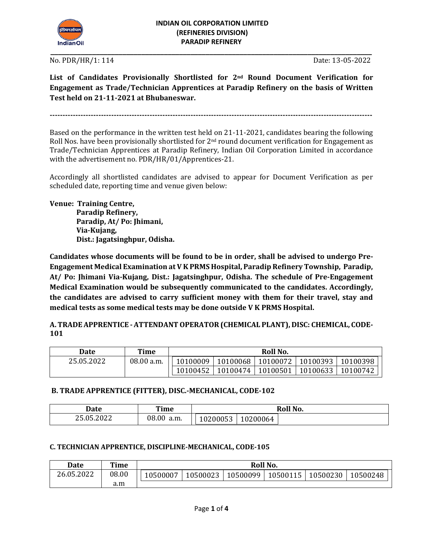

**\_\_\_\_\_\_\_\_\_\_\_\_\_\_\_\_\_\_\_\_\_\_\_\_\_\_\_\_\_\_\_\_\_\_\_\_\_\_\_\_\_\_\_\_\_\_\_\_\_\_\_\_\_\_\_\_\_\_\_\_\_\_\_\_\_\_\_\_\_\_\_\_\_\_\_\_\_\_\_\_\_\_\_\_\_**

No. PDR/HR/1: 114 Date: 13-05-2022

**List of Candidates Provisionally Shortlisted for 2nd Round Document Verification for Engagement as Trade/Technician Apprentices at Paradip Refinery on the basis of Written Test held on 21-11-2021 at Bhubaneswar.** 

**------------------------------------------------------------------------------------------------------------------------------**

Based on the performance in the written test held on 21-11-2021, candidates bearing the following Roll Nos. have been provisionally shortlisted for  $2<sup>nd</sup>$  round document verification for Engagement as Trade/Technician Apprentices at Paradip Refinery, Indian Oil Corporation Limited in accordance with the advertisement no. PDR/HR/01/Apprentices-21.

Accordingly all shortlisted candidates are advised to appear for Document Verification as per scheduled date, reporting time and venue given below:

**Venue: Training Centre,** 

 **Paradip Refinery, Paradip, At/ Po: Jhimani, Via-Kujang, Dist.: Jagatsinghpur, Odisha.**

**Candidates whose documents will be found to be in order, shall be advised to undergo Pre-Engagement Medical Examination at V K PRMS Hospital, Paradip Refinery Township, Paradip, At/ Po: Jhimani Via-Kujang, Dist.: Jagatsinghpur, Odisha. The schedule of Pre-Engagement Medical Examination would be subsequently communicated to the candidates. Accordingly, the candidates are advised to carry sufficient money with them for their travel, stay and medical tests as some medical tests may be done outside V K PRMS Hospital.**

**A. TRADE APPRENTICE -ATTENDANT OPERATOR (CHEMICAL PLANT), DISC: CHEMICAL, CODE-101**

| Date       | Time       | Roll No. |          |          |          |          |  |  |
|------------|------------|----------|----------|----------|----------|----------|--|--|
| 25.05.2022 | 08.00 a.m. | 10100009 | 10100068 | 10100072 | 10100393 | 10100398 |  |  |
|            |            | 10100452 | 10100474 | 10100501 | 10100633 | 10100742 |  |  |

### **B. TRADE APPRENTICE (FITTER), DISC.-MECHANICAL, CODE-102**

| <b>Date</b> | Time          |                                         |          | Roll No. |
|-------------|---------------|-----------------------------------------|----------|----------|
| 25.05.2022  | 08.00<br>a.m. | $\sim$ $\sim$ $\sim$ $\sim$<br>.0200053 | 10200064 |          |

### **C. TECHNICIAN APPRENTICE, DISCIPLINE-MECHANICAL, CODE-105**

| Date       | Time  | Roll No. |          |          |          |          |          |  |  |  |
|------------|-------|----------|----------|----------|----------|----------|----------|--|--|--|
| 26.05.2022 | 08.00 | 10500007 | 10500023 | 10500099 | 10500115 | 10500230 | 10500248 |  |  |  |
|            | a.m   |          |          |          |          |          |          |  |  |  |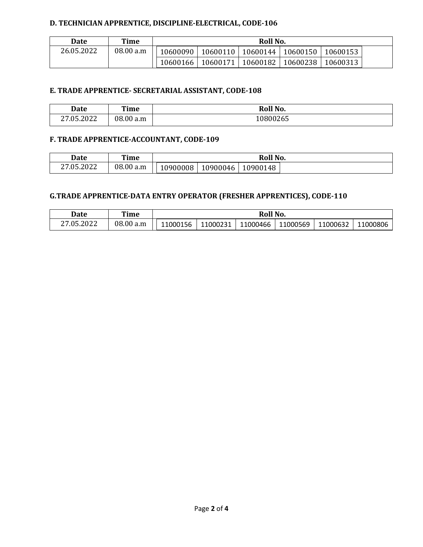## **D. TECHNICIAN APPRENTICE, DISCIPLINE-ELECTRICAL, CODE-106**

| Date       | Time      | Roll No. |          |          |          |          |  |  |
|------------|-----------|----------|----------|----------|----------|----------|--|--|
| 26.05.2022 | 08.00 a.m | 10600090 | 10600110 | 10600144 | 10600150 | 10600153 |  |  |
|            |           | 10600166 | 10600171 | 10600182 | 10600238 | 10600313 |  |  |

# **E. TRADE APPRENTICE- SECRETARIAL ASSISTANT, CODE-108**

| Date               | Time      | Roll No. |
|--------------------|-----------|----------|
| .05.2022<br>$\sim$ | 08.00 a.m | 0800265  |

## **F. TRADE APPRENTICE-ACCOUNTANT, CODE-109**

| <b>Date</b> | Time         | Roll No. |          |          |  |  |
|-------------|--------------|----------|----------|----------|--|--|
| 27.05.2022  | 08.00<br>a.m | 10900008 | 10900046 | 10900148 |  |  |

# **G.TRADE APPRENTICE-DATA ENTRY OPERATOR (FRESHER APPRENTICES), CODE-110**

| <b>Date</b>            | Time      | <b>Roll No.</b> |          |          |          |          |          |  |
|------------------------|-----------|-----------------|----------|----------|----------|----------|----------|--|
| <sup>2</sup> 7.05.2022 | 08.00 a.m | 11000156        | 11000231 | 11000466 | 11000569 | 11000632 | 11000806 |  |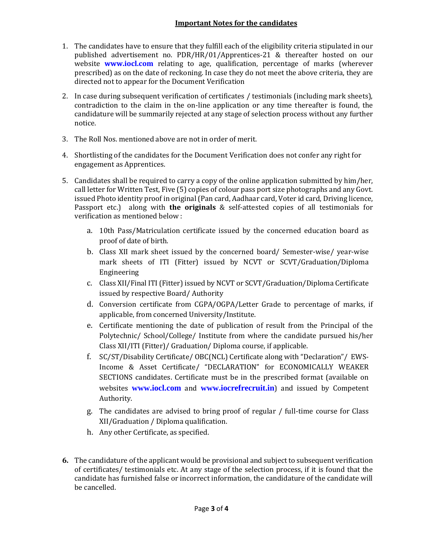- 1. The candidates have to ensure that they fulfill each of the eligibility criteria stipulated in our published advertisement no. PDR/HR/01/Apprentices-21 & thereafter hosted on our website **www.iocl.com** relating to age, qualification, percentage of marks (wherever prescribed) as on the date of reckoning. In case they do not meet the above criteria, they are directed not to appear for the Document Verification
- 2. In case during subsequent verification of certificates / testimonials (including mark sheets), contradiction to the claim in the on-line application or any time thereafter is found, the candidature will be summarily rejected at any stage of selection process without any further notice.
- 3. The Roll Nos. mentioned above are not in order of merit.
- 4. Shortlisting of the candidates for the Document Verification does not confer any right for engagement as Apprentices.
- 5. Candidates shall be required to carry a copy of the online application submitted by him/her, call letter for Written Test, Five (5) copies of colour pass port size photographs and any Govt. issued Photo identity proof in original (Pan card, Aadhaar card, Voter id card, Driving licence, Passport etc.) along with **the originals** & self-attested copies of all testimonials for verification as mentioned below :
	- a. 10th Pass/Matriculation certificate issued by the concerned education board as proof of date of birth.
	- b. Class XII mark sheet issued by the concerned board/ Semester-wise/ year-wise mark sheets of ITI (Fitter) issued by NCVT or SCVT/Graduation/Diploma Engineering
	- c. Class XII/Final ITI (Fitter) issued by NCVT or SCVT/Graduation/Diploma Certificate issued by respective Board/ Authority
	- d. Conversion certificate from CGPA/OGPA/Letter Grade to percentage of marks, if applicable, from concerned University/Institute.
	- e. Certificate mentioning the date of publication of result from the Principal of the Polytechnic/ School/College/ Institute from where the candidate pursued his/her Class XII/ITI (Fitter)/ Graduation/ Diploma course, if applicable.
	- f. SC/ST/Disability Certificate/ OBC(NCL) Certificate along with "Declaration"/ EWS-Income & Asset Certificate/ "DECLARATION" for ECONOMICALLY WEAKER SECTIONS candidates. Certificate must be in the prescribed format (available on websites **www.iocl.com** and **[www.iocrefrecruit.in](http://www.iocrefrecruit.in/)**) and issued by Competent Authority.
	- g. The candidates are advised to bring proof of regular / full-time course for Class XII/Graduation / Diploma qualification.
	- h. Any other Certificate, as specified.
- **6.** The candidature of the applicant would be provisional and subject to subsequent verification of certificates/ testimonials etc. At any stage of the selection process, if it is found that the candidate has furnished false or incorrect information, the candidature of the candidate will be cancelled.